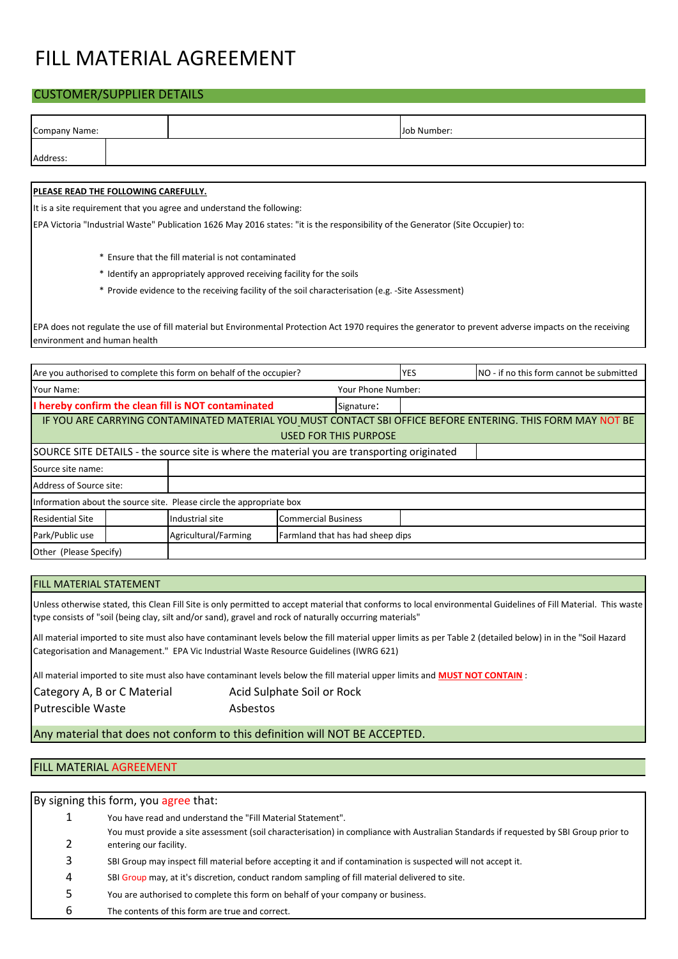# FILL MATERIAL AGREEMENT

### CUSTOMER/SUPPLIER DETAILS

| Company Name:                                       |  |                                                                                                                                  | Job Number:                      |                              |            |                                                                                                                                                         |  |  |  |  |
|-----------------------------------------------------|--|----------------------------------------------------------------------------------------------------------------------------------|----------------------------------|------------------------------|------------|---------------------------------------------------------------------------------------------------------------------------------------------------------|--|--|--|--|
| Address:                                            |  |                                                                                                                                  |                                  |                              |            |                                                                                                                                                         |  |  |  |  |
|                                                     |  |                                                                                                                                  |                                  |                              |            |                                                                                                                                                         |  |  |  |  |
| PLEASE READ THE FOLLOWING CAREFULLY.                |  |                                                                                                                                  |                                  |                              |            |                                                                                                                                                         |  |  |  |  |
|                                                     |  | It is a site requirement that you agree and understand the following:                                                            |                                  |                              |            |                                                                                                                                                         |  |  |  |  |
|                                                     |  | EPA Victoria "Industrial Waste" Publication 1626 May 2016 states: "it is the responsibility of the Generator (Site Occupier) to: |                                  |                              |            |                                                                                                                                                         |  |  |  |  |
|                                                     |  |                                                                                                                                  |                                  |                              |            |                                                                                                                                                         |  |  |  |  |
| * Ensure that the fill material is not contaminated |  |                                                                                                                                  |                                  |                              |            |                                                                                                                                                         |  |  |  |  |
|                                                     |  | * Identify an appropriately approved receiving facility for the soils                                                            |                                  |                              |            |                                                                                                                                                         |  |  |  |  |
|                                                     |  | * Provide evidence to the receiving facility of the soil characterisation (e.g. -Site Assessment)                                |                                  |                              |            |                                                                                                                                                         |  |  |  |  |
|                                                     |  |                                                                                                                                  |                                  |                              |            |                                                                                                                                                         |  |  |  |  |
| environment and human health                        |  |                                                                                                                                  |                                  |                              |            | EPA does not regulate the use of fill material but Environmental Protection Act 1970 requires the generator to prevent adverse impacts on the receiving |  |  |  |  |
|                                                     |  |                                                                                                                                  |                                  |                              |            |                                                                                                                                                         |  |  |  |  |
|                                                     |  | Are you authorised to complete this form on behalf of the occupier?                                                              |                                  |                              | <b>YES</b> | NO - if no this form cannot be submitted                                                                                                                |  |  |  |  |
| Your Name:                                          |  |                                                                                                                                  |                                  | Your Phone Number:           |            |                                                                                                                                                         |  |  |  |  |
|                                                     |  | I hereby confirm the clean fill is NOT contaminated                                                                              |                                  | Signature:                   |            |                                                                                                                                                         |  |  |  |  |
|                                                     |  |                                                                                                                                  |                                  |                              |            | IF YOU ARE CARRYING CONTAMINATED MATERIAL YOU_MUST CONTACT SBI OFFICE BEFORE ENTERING. THIS FORM MAY NOT BE                                             |  |  |  |  |
|                                                     |  |                                                                                                                                  |                                  | <b>USED FOR THIS PURPOSE</b> |            |                                                                                                                                                         |  |  |  |  |
|                                                     |  | SOURCE SITE DETAILS - the source site is where the material you are transporting originated                                      |                                  |                              |            |                                                                                                                                                         |  |  |  |  |
| Source site name:                                   |  |                                                                                                                                  |                                  |                              |            |                                                                                                                                                         |  |  |  |  |
| Address of Source site:                             |  |                                                                                                                                  |                                  |                              |            |                                                                                                                                                         |  |  |  |  |
|                                                     |  | Information about the source site. Please circle the appropriate box                                                             |                                  |                              |            |                                                                                                                                                         |  |  |  |  |
| <b>Residential Site</b>                             |  | Industrial site                                                                                                                  | <b>Commercial Business</b>       |                              |            |                                                                                                                                                         |  |  |  |  |
| Park/Public use                                     |  | Agricultural/Farming                                                                                                             | Farmland that has had sheep dips |                              |            |                                                                                                                                                         |  |  |  |  |
| Other (Please Specify)                              |  |                                                                                                                                  |                                  |                              |            |                                                                                                                                                         |  |  |  |  |

#### FILL MATERIAL STATEMENT

Unless otherwise stated, this Clean Fill Site is only permitted to accept material that conforms to local environmental Guidelines of Fill Material. This waste type consists of "soil (being clay, silt and/or sand), gravel and rock of naturally occurring materials"

All material imported to site must also have contaminant levels below the fill material upper limits as per Table 2 (detailed below) in in the "Soil Hazard Categorisation and Management." EPA Vic Industrial Waste Resource Guidelines (IWRG 621)

All material imported to site must also have contaminant levels below the fill material upper limits and **MUST NOT CONTAIN** :

| Category A, B or C Material | Acid Sulphate Soil or Rock |
|-----------------------------|----------------------------|
| <b>Putrescible Waste</b>    | Asbestos                   |

Any material that does not conform to this definition will NOT BE ACCEPTED.

## FILL MATERIAL AGREEMENT

| By signing this form, you agree that: |                                                                                                                                       |  |  |  |  |  |
|---------------------------------------|---------------------------------------------------------------------------------------------------------------------------------------|--|--|--|--|--|
| 1                                     | You have read and understand the "Fill Material Statement".                                                                           |  |  |  |  |  |
|                                       | You must provide a site assessment (soil characterisation) in compliance with Australian Standards if requested by SBI Group prior to |  |  |  |  |  |
|                                       | entering our facility.                                                                                                                |  |  |  |  |  |
| 3                                     | SBI Group may inspect fill material before accepting it and if contamination is suspected will not accept it.                         |  |  |  |  |  |
| 4                                     | SBI Group may, at it's discretion, conduct random sampling of fill material delivered to site.                                        |  |  |  |  |  |
| 5                                     | You are authorised to complete this form on behalf of your company or business.                                                       |  |  |  |  |  |
| 6                                     | The contents of this form are true and correct.                                                                                       |  |  |  |  |  |